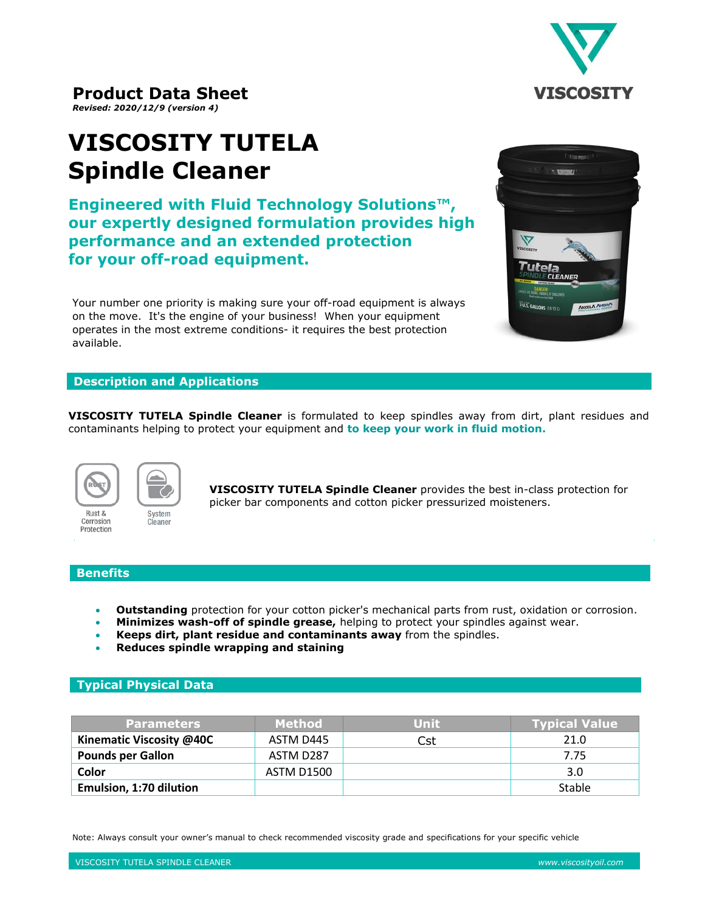

# **Product Data Sheet**

*Revised: 2020/12/9 (version 4)*

# **VISCOSITY TUTELA Spindle Cleaner**

**Engineered with Fluid Technology Solutions™, our expertly designed formulation provides high performance and an extended protection for your off-road equipment.**

Your number one priority is making sure your off-road equipment is always on the move. It's the engine of your business! When your equipment operates in the most extreme conditions- it requires the best protection available.

### **Description and Applications**

**VISCOSITY TUTELA Spindle Cleaner** is formulated to keep spindles away from dirt, plant residues and contaminants helping to protect your equipment and **to keep your work in fluid motion.**



Rust &

System Corrosion Cleaner Protection

**VISCOSITY TUTELA Spindle Cleaner** provides the best in-class protection for picker bar components and cotton picker pressurized moisteners.

#### **Benefits**

- **Outstanding** protection for your cotton picker's mechanical parts from rust, oxidation or corrosion.
- **Minimizes wash-off of spindle grease,** helping to protect your spindles against wear.
- **Keeps dirt, plant residue and contaminants away** from the spindles.
- **Reduces spindle wrapping and staining**

## **Typical Physical Data**

| <b>Parameters</b>              | <b>Method</b>     | Unit | <b>Typical Value</b> |
|--------------------------------|-------------------|------|----------------------|
| Kinematic Viscosity @40C       | ASTM D445         | Cst  | 21.0                 |
| <b>Pounds per Gallon</b>       | ASTM D287         |      | 7.75                 |
| Color                          | <b>ASTM D1500</b> |      | 3.0                  |
| <b>Emulsion, 1:70 dilution</b> |                   |      | Stable               |

Note: Always consult your owner's manual to check recommended viscosity grade and specifications for your specific vehicle